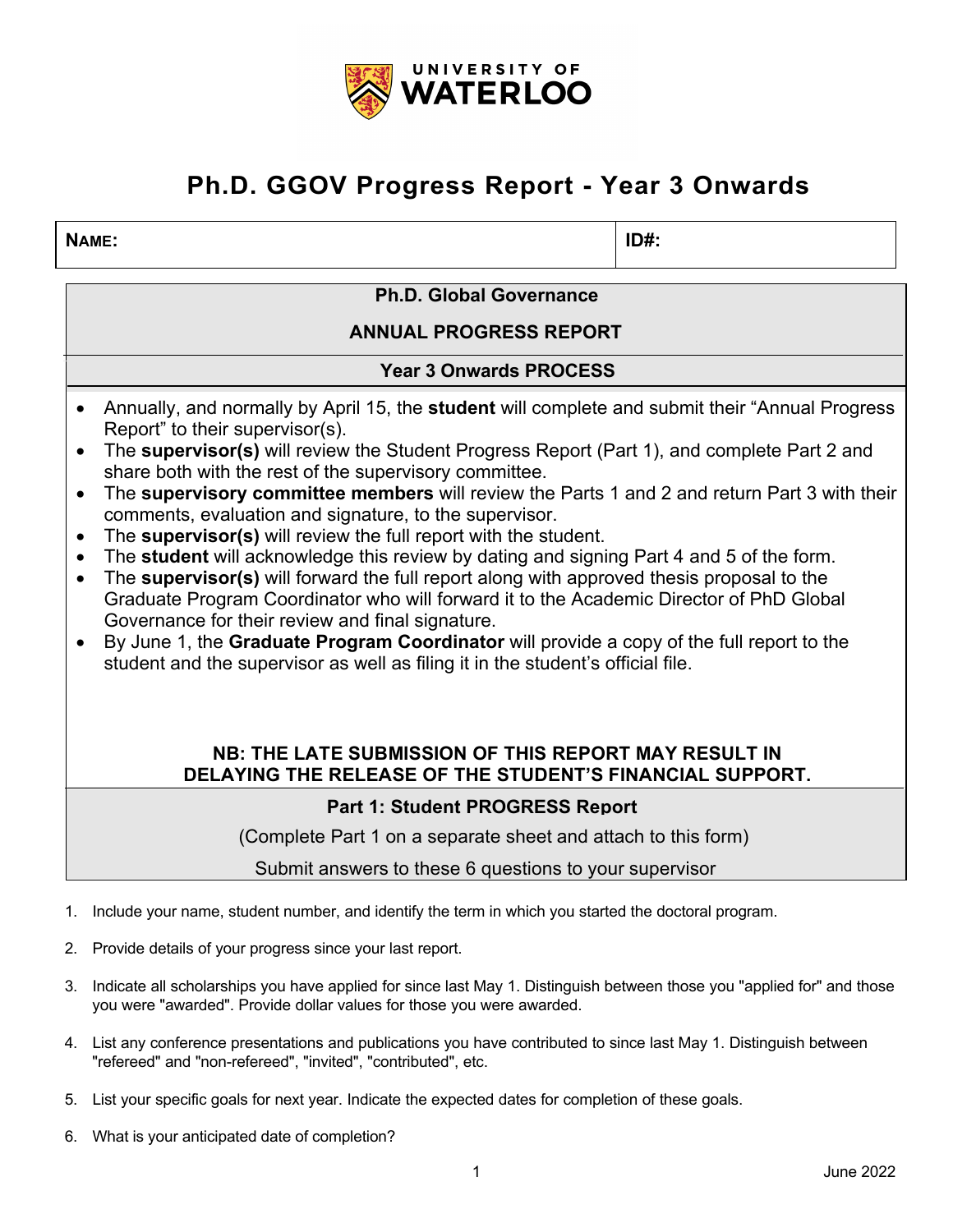

# **Ph.D. GGOV Progress Report - Year 3 Onwards**

### **NAME: ID#:**

**Ph.D. Global Governance**

**ANNUAL PROGRESS REPORT**

**Year 3 Onwards PROCESS** 

- Annually, and normally by April 15, the **student** will complete and submit their "Annual Progress Report" to their supervisor(s).
- The **supervisor(s)** will review the Student Progress Report (Part 1), and complete Part 2 and share both with the rest of the supervisory committee.
- The **supervisory committee members** will review the Parts 1 and 2 and return Part 3 with their comments, evaluation and signature, to the supervisor.
- The **supervisor(s)** will review the full report with the student.
- The **student** will acknowledge this review by dating and signing Part 4 and 5 of the form.
- The **supervisor(s)** will forward the full report along with approved thesis proposal to the Graduate Program Coordinator who will forward it to the Academic Director of PhD Global Governance for their review and final signature.
- By June 1, the **Graduate Program Coordinator** will provide a copy of the full report to the student and the supervisor as well as filing it in the student's official file.

### **NB: THE LATE SUBMISSION OF THIS REPORT MAY RESULT IN DELAYING THE RELEASE OF THE STUDENT'S FINANCIAL SUPPORT.**

## **Part 1: Student PROGRESS Report**

(Complete Part 1 on a separate sheet and attach to this form)

Submit answers to these 6 questions to your supervisor

- 1. Include your name, student number, and identify the term in which you started the doctoral program.
- 2. Provide details of your progress since your last report.
- 3. Indicate all scholarships you have applied for since last May 1. Distinguish between those you "applied for" and those you were "awarded". Provide dollar values for those you were awarded.
- 4. List any conference presentations and publications you have contributed to since last May 1. Distinguish between "refereed" and "non-refereed", "invited", "contributed", etc.
- 5. List your specific goals for next year. Indicate the expected dates for completion of these goals.
- 6. What is your anticipated date of completion?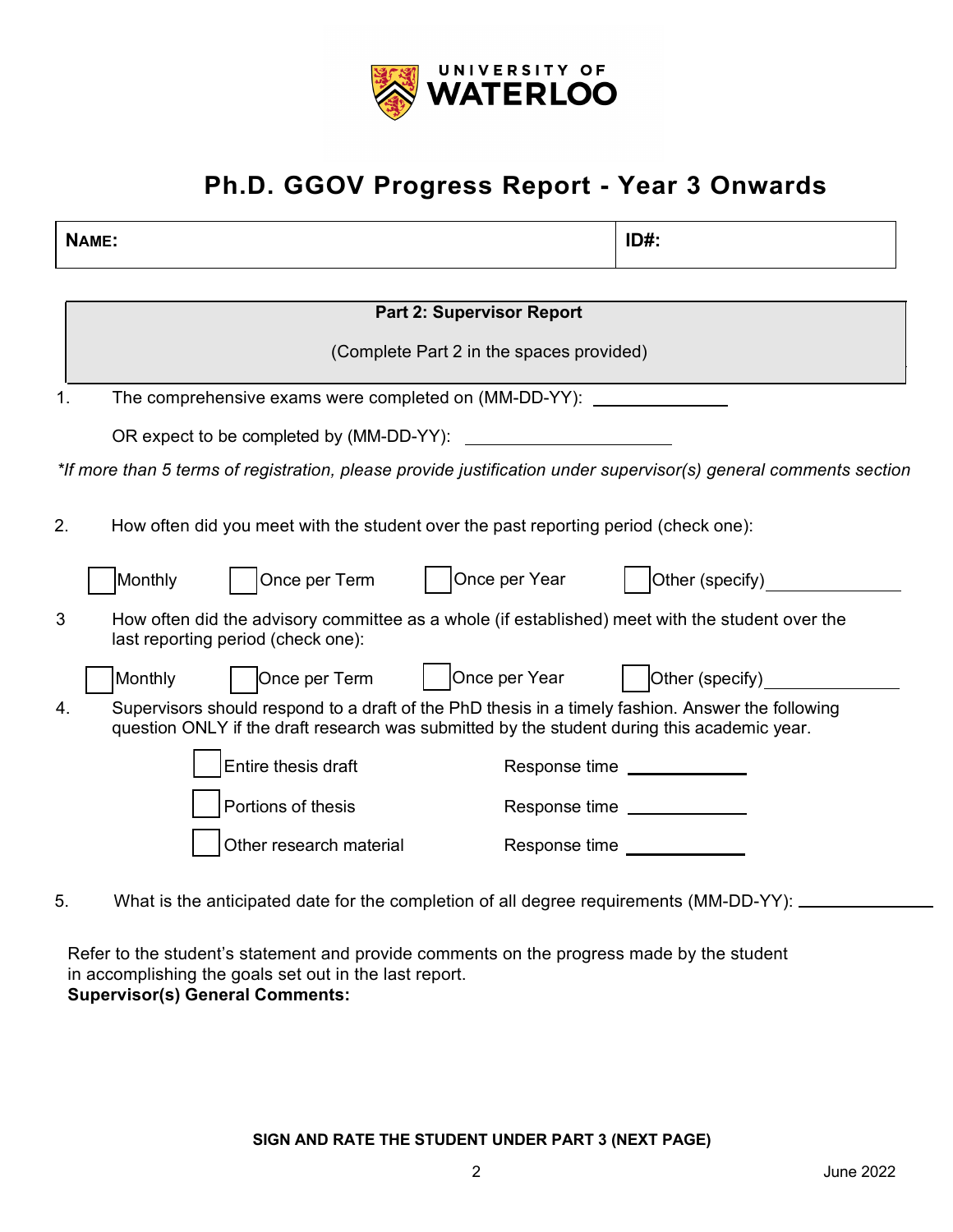

# **Ph.D. GGOV Progress Report - Year 3 Onwards**

| NAME:                                                                                                            | $ID#$ :                                                                                                                                                                                          |  |  |  |  |
|------------------------------------------------------------------------------------------------------------------|--------------------------------------------------------------------------------------------------------------------------------------------------------------------------------------------------|--|--|--|--|
|                                                                                                                  |                                                                                                                                                                                                  |  |  |  |  |
| <b>Part 2: Supervisor Report</b>                                                                                 |                                                                                                                                                                                                  |  |  |  |  |
|                                                                                                                  | (Complete Part 2 in the spaces provided)                                                                                                                                                         |  |  |  |  |
| 1.                                                                                                               | The comprehensive exams were completed on (MM-DD-YY):                                                                                                                                            |  |  |  |  |
|                                                                                                                  | OR expect to be completed by (MM-DD-YY):<br><u> 1980 - Jan Barbara Barbara, masa ka</u>                                                                                                          |  |  |  |  |
| *If more than 5 terms of registration, please provide justification under supervisor(s) general comments section |                                                                                                                                                                                                  |  |  |  |  |
| 2.                                                                                                               | How often did you meet with the student over the past reporting period (check one):                                                                                                              |  |  |  |  |
|                                                                                                                  | Once per Year<br>Once per Term<br>Other (specify)<br>Monthly                                                                                                                                     |  |  |  |  |
| 3                                                                                                                | How often did the advisory committee as a whole (if established) meet with the student over the<br>last reporting period (check one):                                                            |  |  |  |  |
|                                                                                                                  | Once per Year<br>Other (specify)<br>Once per Term<br>Monthly                                                                                                                                     |  |  |  |  |
| 4.                                                                                                               | Supervisors should respond to a draft of the PhD thesis in a timely fashion. Answer the following<br>question ONLY if the draft research was submitted by the student during this academic year. |  |  |  |  |
|                                                                                                                  | Entire thesis draft<br>Response time ______________                                                                                                                                              |  |  |  |  |
|                                                                                                                  | Portions of thesis<br>Response time _____________                                                                                                                                                |  |  |  |  |
|                                                                                                                  | Other research material<br>Response time <b>with the Response time</b>                                                                                                                           |  |  |  |  |
| 5.                                                                                                               | What is the anticipated date for the completion of all degree requirements (MM-DD-YY): _                                                                                                         |  |  |  |  |

Refer to the student's statement and provide comments on the progress made by the student in accomplishing the goals set out in the last report. **Supervisor(s) General Comments:**